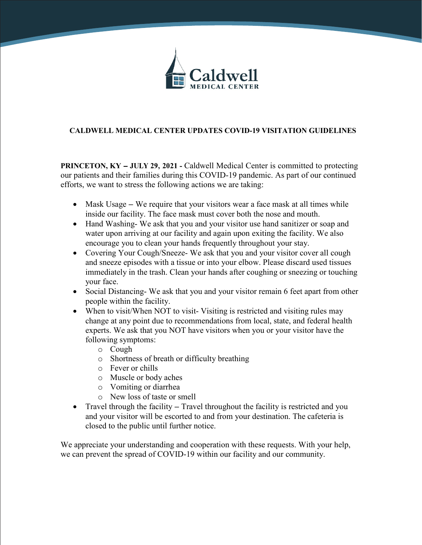

# **CALDWELL MEDICAL CENTER UPDATES COVID-19 VISITATION GUIDELINES**

**PRINCETON, KY –** JULY 29, 2021 **-** Caldwell Medical Center is committed to protecting our patients and their families during this COVID-19 pandemic. As part of our continued efforts, we want to stress the following actions we are taking:

- Mask Usage We require that your visitors wear a face mask at all times while inside our facility. The face mask must cover both the nose and mouth.
- Hand Washing-We ask that you and your visitor use hand sanitizer or soap and water upon arriving at our facility and again upon exiting the facility. We also encourage you to clean your hands frequently throughout your stay.
- Covering Your Cough/Sneeze- We ask that you and your visitor cover all cough and sneeze episodes with a tissue or into your elbow. Please discard used tissues immediately in the trash. Clean your hands after coughing or sneezing or touching your face.
- Social Distancing-We ask that you and your visitor remain 6 feet apart from other people within the facility.
- When to visit/When NOT to visit-Visiting is restricted and visiting rules may change at any point due to recommendations from local, state, and federal health experts. We ask that you NOT have visitors when you or your visitor have the following symptoms:
	- o Cough
	- o Shortness of breath or difficulty breathing
	- o Fever or chills
	- o Muscle or body aches
	- o Vomiting or diarrhea
	- o New loss of taste or smell
- Travel through the facility Travel throughout the facility is restricted and you and your visitor will be escorted to and from your destination. The cafeteria is closed to the public until further notice.

We appreciate your understanding and cooperation with these requests. With your help, we can prevent the spread of COVID-19 within our facility and our community.